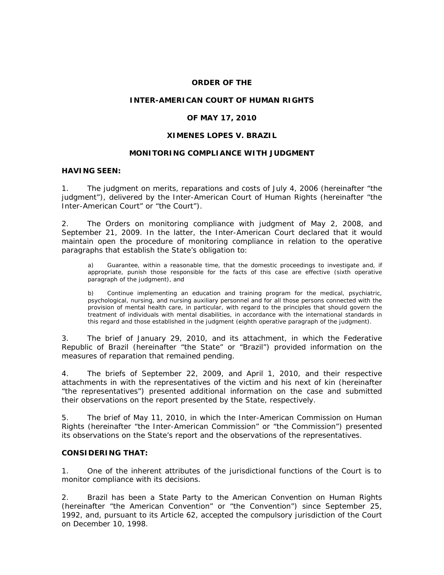#### **ORDER OF THE**

### **INTER-AMERICAN COURT OF HUMAN RIGHTS**

### **OF MAY 17, 2010**

### **XIMENES LOPES** *V***. BRAZIL**

### **MONITORING COMPLIANCE WITH JUDGMENT**

#### **HAVING SEEN:**

1. The judgment on merits, reparations and costs of July 4, 2006 (hereinafter "the judgment"), delivered by the Inter-American Court of Human Rights (hereinafter "the Inter-American Court" or "the Court").

2. The Orders on monitoring compliance with judgment of May 2, 2008, and September 21, 2009. In the latter, the Inter-American Court declared that it would maintain open the procedure of monitoring compliance in relation to the operative paragraphs that establish the State's obligation to:

a) Guarantee, within a reasonable time, that the domestic proceedings to investigate and, if appropriate, punish those responsible for the facts of this case are effective (*sixth operative paragraph of the judgment*), and

b) Continue implementing an education and training program for the medical, psychiatric, psychological, nursing, and nursing auxiliary personnel and for all those persons connected with the provision of mental health care, in particular, with regard to the principles that should govern the treatment of individuals with mental disabilities, in accordance with the international standards in this regard and those established in the judgment (*eighth operative paragraph of the judgment*).

3. The brief of January 29, 2010, and its attachment, in which the Federative Republic of Brazil (hereinafter "the State" or "Brazil") provided information on the measures of reparation that remained pending.

4. The briefs of September 22, 2009, and April 1, 2010, and their respective attachments in with the representatives of the victim and his next of kin (hereinafter "the representatives") presented additional information on the case and submitted their observations on the report presented by the State, respectively.

5. The brief of May 11, 2010, in which the Inter-American Commission on Human Rights (hereinafter "the Inter-American Commission" or "the Commission") presented its observations on the State's report and the observations of the representatives.

#### **CONSIDERING THAT:**

1. One of the inherent attributes of the jurisdictional functions of the Court is to monitor compliance with its decisions.

2. Brazil has been a State Party to the American Convention on Human Rights (hereinafter "the American Convention" or "the Convention") since September 25, 1992, and, pursuant to its Article 62, accepted the compulsory jurisdiction of the Court on December 10, 1998.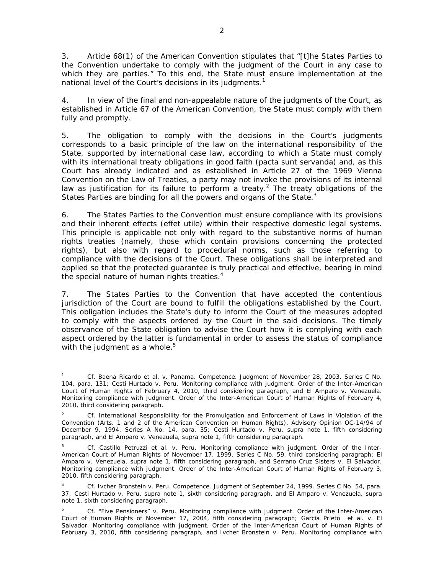3. Article 68(1) of the American Convention stipulates that "[t]he States Parties to the Convention undertake to comply with the judgment of the Court in any case to which they are parties." To this end, the State must ensure implementation at the national level of the Court's decisions in its judgments.<sup>1</sup>

4. In view of the final and non-appealable nature of the judgments of the Court, as established in Article 67 of the American Convention, the State must comply with them fully and promptly.

5. The obligation to comply with the decisions in the Court's judgments corresponds to a basic principle of the law on the international responsibility of the State, supported by international case law, according to which a State must comply with its international treaty obligations in good faith (*pacta sunt servanda)* and, as this Court has already indicated and as established in Article 27 of the 1969 Vienna Convention on the Law of Treaties, a party may not invoke the provisions of its internal law as justification for its failure to perform a treaty.<sup>2</sup> The treaty obligations of the States Parties are binding for all the powers and organs of the State.<sup>3</sup>

6. The States Parties to the Convention must ensure compliance with its provisions and their inherent effects (*effet utile*) within their respective domestic legal systems. This principle is applicable not only with regard to the substantive norms of human rights treaties (namely, those which contain provisions concerning the protected rights), but also with regard to procedural norms, such as those referring to compliance with the decisions of the Court. These obligations shall be interpreted and applied so that the protected guarantee is truly practical and effective, bearing in mind the special nature of human rights treaties.<sup>4</sup>

7. The States Parties to the Convention that have accepted the contentious jurisdiction of the Court are bound to fulfill the obligations established by the Court. This obligation includes the State's duty to inform the Court of the measures adopted to comply with the aspects ordered by the Court in the said decisions. The timely observance of the State obligation to advise the Court how it is complying with each aspect ordered by the latter is fundamental in order to assess the status of compliance with the judgment as a whole. $5$ 

<sup>1</sup> 1 *Cf. Baena Ricardo et al. v. Panama. Competence.* Judgment of November 28, 2003. Series C No. 104, para. 131; *Cesti Hurtado v. Peru. Monitoring compliance with judgment*. Order of the Inter-American Court of Human Rights of February 4, 2010, third considering paragraph, and *El Amparo v. Venezuela. Monitoring compliance with judgment*. Order of the Inter-American Court of Human Rights of February 4, 2010, third considering paragraph.

<sup>2</sup> *Cf. International Responsibility for the Promulgation and Enforcement of Laws in Violation of the Convention (Arts. 1 and 2 of the American Convention on Human Rights).* Advisory Opinion OC-14/94 of December 9, 1994. Series A No. 14, para. 35; *Cesti Hurtado v. Peru, supra* note 1, fifth considering paragraph, and *El Amparo v. Venezuela, supra* note 1, fifth considering paragraph.

<sup>3</sup> *Cf. Castillo Petruzzi et al. v. Peru. Monitoring compliance with judgment*. Order of the Inter-American Court of Human Rights of November 17, 1999. Series C No. 59, third considering paragraph; *El Amparo v. Venezuela, supra* note 1, fifth considering paragraph, and *Serrano Cruz Sisters v. El Salvador*. *Monitoring compliance with judgment*. Order of the Inter-American Court of Human Rights of February 3, 2010, fifth considering paragraph.

<sup>4</sup> *Cf. Ivcher Bronstein v. Peru. Competence.* Judgment of September 24, 1999. Series C No. 54, para. 37; *Cesti Hurtado v. Peru, supra* note 1, sixth considering paragraph, and *El Amparo v. Venezuela, supra*  note 1, sixth considering paragraph.

<sup>5</sup> *Cf. "Five Pensioners" v. Peru. Monitoring compliance with judgment*. Order of the Inter-American Court of Human Rights of November 17, 2004, fifth considering paragraph; *García Prieto et al. v. El Salvador. Monitoring compliance with judgment*. Order of the Inter-American Court of Human Rights of February 3, 2010, fifth considering paragraph, and *Ivcher Bronstein v. Peru. Monitoring compliance with*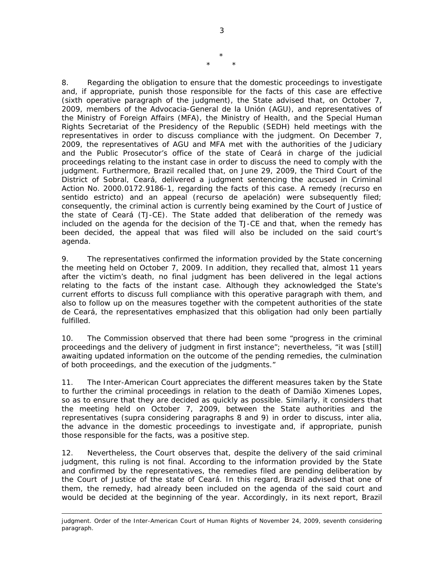8. Regarding the obligation to ensure that the domestic proceedings to investigate and, if appropriate, punish those responsible for the facts of this case are effective (*sixth operative paragraph of the judgment*), the State advised that, on October 7, 2009, members of the *Advocacia-General de la Unión* (AGU), and representatives of the Ministry of Foreign Affairs (MFA), the Ministry of Health, and the Special Human Rights Secretariat of the Presidency of the Republic (SEDH) held meetings with the representatives in order to discuss compliance with the judgment. On December 7, 2009, the representatives of AGU and MFA met with the authorities of the Judiciary and the Public Prosecutor's office of the state of Ceará in charge of the judicial proceedings relating to the instant case in order to discuss the need to comply with the judgment. Furthermore, Brazil recalled that, on June 29, 2009, the Third Court of the District of Sobral, Ceará, delivered a judgment sentencing the accused in Criminal Action No. 2000.0172.9186-1, regarding the facts of this case. A remedy (*recurso en sentido estricto*) and an appeal (*recurso de apelación*) were subsequently filed; consequently, the criminal action is currently being examined by the Court of Justice of the state of Ceará (TJ-CE). The State added that deliberation of the remedy was included on the agenda for the decision of the TJ-CE and that, when the remedy has been decided, the appeal that was filed will also be included on the said court's agenda.

9. The representatives confirmed the information provided by the State concerning the meeting held on October 7, 2009. In addition, they recalled that, almost 11 years after the victim's death, no final judgment has been delivered in the legal actions relating to the facts of the instant case. Although they acknowledged the State's current efforts to discuss full compliance with this operative paragraph with them, and also to follow up on the measures together with the competent authorities of the state de Ceará, the representatives emphasized that this obligation had only been partially fulfilled.

10. The Commission observed that there had been some "progress in the criminal proceedings and the delivery of judgment in first instance"; nevertheless, "it was [still] awaiting updated information on the outcome of the pending remedies, the culmination of both proceedings, and the execution of the judgments."

11. The Inter-American Court appreciates the different measures taken by the State to further the criminal proceedings in relation to the death of Damião Ximenes Lopes, so as to ensure that they are decided as quickly as possible. Similarly, it considers that the meeting held on October 7, 2009, between the State authorities and the representatives (*supra* considering paragraphs 8 and 9) in order to discuss, *inter alia*, the advance in the domestic proceedings to investigate and, if appropriate, punish those responsible for the facts, was a positive step.

12. Nevertheless, the Court observes that, despite the delivery of the said criminal judgment, this ruling is not final. According to the information provided by the State and confirmed by the representatives, the remedies filed are pending deliberation by the Court of Justice of the state of Ceará. In this regard, Brazil advised that one of them, the remedy, had already been included on the agenda of the said court and would be decided at the beginning of the year. Accordingly, in its next report, Brazil

<u>.</u>

\*

\* \*

*judgment*. Order of the Inter-American Court of Human Rights of November 24, 2009, seventh considering paragraph.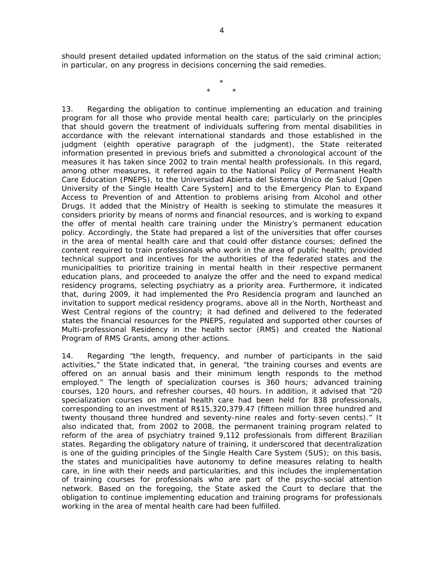should present detailed updated information on the status of the said criminal action; in particular, on any progress in decisions concerning the said remedies.

> \* \* \*

13. Regarding the obligation to continue implementing an education and training program for all those who provide mental health care; particularly on the principles that should govern the treatment of individuals suffering from mental disabilities in accordance with the relevant international standards and those established in the judgment (*eighth operative paragraph of the judgment*), the State reiterated information presented in previous briefs and submitted a chronological account of the measures it has taken since 2002 to train mental health professionals. In this regard, among other measures, it referred again to the National Policy of Permanent Health Care Education (PNEPS), to the *Universidad Abierta del Sistema Único de Salud* [Open University of the Single Health Care System] and to the Emergency Plan to Expand Access to Prevention of and Attention to problems arising from Alcohol and other Drugs. It added that the Ministry of Health is seeking to stimulate the measures it considers priority by means of norms and financial resources, and is working to expand the offer of mental health care training under the Ministry's permanent education policy. Accordingly, the State had prepared a list of the universities that offer courses in the area of mental health care and that could offer distance courses; defined the content required to train professionals who work in the area of public health; provided technical support and incentives for the authorities of the federated states and the municipalities to prioritize training in mental health in their respective permanent education plans, and proceeded to analyze the offer and the need to expand medical residency programs, selecting psychiatry as a priority area. Furthermore, it indicated that, during 2009, it had implemented the Pro *Residencia* program and launched an invitation to support medical residency programs, above all in the North, Northeast and West Central regions of the country; it had defined and delivered to the federated states the financial resources for the PNEPS, regulated and supported other courses of Multi-professional Residency in the health sector (RMS) and created the National Program of RMS Grants, among other actions.

14. Regarding "the length, frequency, and number of participants in the said activities," the State indicated that, in general, "the training courses and events are offered on an annual basis and their minimum length responds to the method employed." The length of specialization courses is 360 hours; advanced training courses, 120 hours, and refresher courses, 40 hours. In addition, it advised that "20 specialization courses on mental health care had been held for 838 professionals, corresponding to an investment of R\$15,320,379.47 (fifteen million three hundred and twenty thousand three hundred and seventy-nine reales and forty-seven cents)." It also indicated that, from 2002 to 2008, the permanent training program related to reform of the area of psychiatry trained 9,112 professionals from different Brazilian states. Regarding the obligatory nature of training, it underscored that decentralization is one of the guiding principles of the Single Health Care System (SUS); on this basis, the states and municipalities have autonomy to define measures relating to health care, in line with their needs and particularities, and this includes the implementation of training courses for professionals who are part of the psycho-social attention network. Based on the foregoing, the State asked the Court to declare that the obligation to continue implementing education and training programs for professionals working in the area of mental health care had been fulfilled.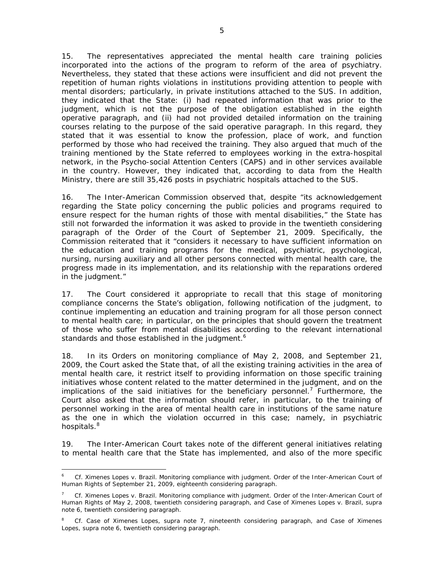15. The representatives appreciated the mental health care training policies incorporated into the actions of the program to reform of the area of psychiatry. Nevertheless, they stated that these actions were insufficient and did not prevent the repetition of human rights violations in institutions providing attention to people with mental disorders; particularly, in private institutions attached to the SUS. In addition, they indicated that the State: (i) had repeated information that was prior to the judgment, which is not the purpose of the obligation established in the eighth operative paragraph, and (ii) had not provided detailed information on the training courses relating to the purpose of the said operative paragraph. In this regard, they stated that it was essential to know the profession, place of work, and function performed by those who had received the training. They also argued that much of the training mentioned by the State referred to employees working in the extra-hospital network, in the Psycho-social Attention Centers (CAPS) and in other services available in the country. However, they indicated that, according to data from the Health Ministry, there are still 35,426 posts in psychiatric hospitals attached to the SUS.

16. The Inter-American Commission observed that, despite "its acknowledgement regarding the State policy concerning the public policies and programs required to ensure respect for the human rights of those with mental disabilities," the State has still not forwarded the information it was asked to provide in the twentieth considering paragraph of the Order of the Court of September 21, 2009. Specifically, the Commission reiterated that it "considers it necessary to have sufficient information on the education and training programs for the medical, psychiatric, psychological, nursing, nursing auxiliary and all other persons connected with mental health care, the progress made in its implementation, and its relationship with the reparations ordered in the judgment."

17. The Court considered it appropriate to recall that this stage of monitoring compliance concerns the State's obligation, following notification of the judgment, to continue implementing an education and training program for all those person connect to mental health care; in particular, on the principles that should govern the treatment of those who suffer from mental disabilities according to the relevant international standards and those established in the judgment.<sup>6</sup>

18. In its Orders on monitoring compliance of May 2, 2008, and September 21, 2009, the Court asked the State that, of all the existing training activities in the area of mental health care, it restrict itself to providing information on those specific training initiatives whose content related to the matter determined in the judgment, and on the implications of the said initiatives for the beneficiary personnel.<sup>7</sup> Furthermore, the Court also asked that the information should refer, in particular, to the training of personnel working in the area of mental health care in institutions of the same nature as the one in which the violation occurred in this case; namely, in psychiatric hospitals.<sup>8</sup>

19. The Inter-American Court takes note of the different general initiatives relating to mental health care that the State has implemented, and also of the more specific

1

<sup>6</sup> *Cf. Ximenes Lopes v. Brazil*. *Monitoring compliance with judgment.* Order of the Inter-American Court of Human Rights of September 21, 2009, eighteenth considering paragraph.

<sup>7</sup> *Cf. Ximenes Lopes v. Brazil*. *Monitoring compliance with judgment.* Order of the Inter-American Court of Human Rights of May 2, 2008, twentieth considering paragraph, and Case of *Ximenes Lopes v. Brazil, supra*  note 6, twentieth considering paragraph.

<sup>8</sup> *Cf. Case of Ximenes Lopes, supra* note 7, nineteenth considering paragraph, and *Case of Ximenes Lopes, supra* note 6, twentieth considering paragraph.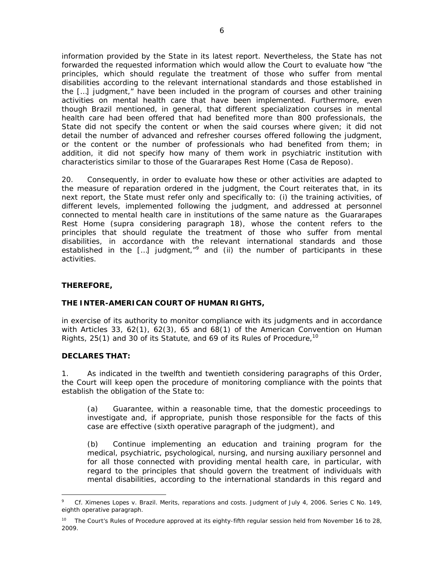information provided by the State in its latest report. Nevertheless, the State has not forwarded the requested information which would allow the Court to evaluate how "the principles, which should regulate the treatment of those who suffer from mental disabilities according to the relevant international standards and those established in the […] judgment," have been included in the program of courses and other training activities on mental health care that have been implemented. Furthermore, even though Brazil mentioned, in general, that different specialization courses in mental health care had been offered that had benefited more than 800 professionals, the State did not specify the content or when the said courses where given; it did not detail the number of advanced and refresher courses offered following the judgment, or the content or the number of professionals who had benefited from them; in addition, it did not specify how many of them work in psychiatric institution with characteristics similar to those of the Guararapes Rest Home (*Casa de Reposo)*.

20. Consequently, in order to evaluate how these or other activities are adapted to the measure of reparation ordered in the judgment, the Court reiterates that, in its next report, the State must refer only and specifically to: (i) the training activities, of different levels, implemented following the judgment, and addressed at personnel connected to mental health care in institutions of the same nature as the Guararapes Rest Home (*supra* considering paragraph 18), whose the content refers to the principles that should regulate the treatment of those who suffer from mental disabilities, in accordance with the relevant international standards and those established in the  $\left[\ldots\right]$  judgment,<sup>"9</sup> and (ii) the number of participants in these activities.

# **THEREFORE,**

# **THE INTER-AMERICAN COURT OF HUMAN RIGHTS,**

in exercise of its authority to monitor compliance with its judgments and in accordance with Articles 33, 62(1), 62(3), 65 and 68(1) of the American Convention on Human Rights, 25(1) and 30 of its Statute, and 69 of its Rules of Procedure,<sup>10</sup>

# **DECLARES THAT:**

1

1. As indicated in the twelfth and twentieth considering paragraphs of this Order, the Court will keep open the procedure of monitoring compliance with the points that establish the obligation of the State to:

(a) Guarantee, within a reasonable time, that the domestic proceedings to investigate and, if appropriate, punish those responsible for the facts of this case are effective (*sixth operative paragraph of the judgment*), and

(b) Continue implementing an education and training program for the medical, psychiatric, psychological, nursing, and nursing auxiliary personnel and for all those connected with providing mental health care, in particular, with regard to the principles that should govern the treatment of individuals with mental disabilities, according to the international standards in this regard and

<sup>9</sup> *Cf. Ximenes Lopes v. Brazil. Merits, reparations and costs*. Judgment of July 4, 2006. Series C No. 149, eighth operative paragraph.

<sup>&</sup>lt;sup>10</sup> The Court's Rules of Procedure approved at its eighty-fifth regular session held from November 16 to 28, 2009.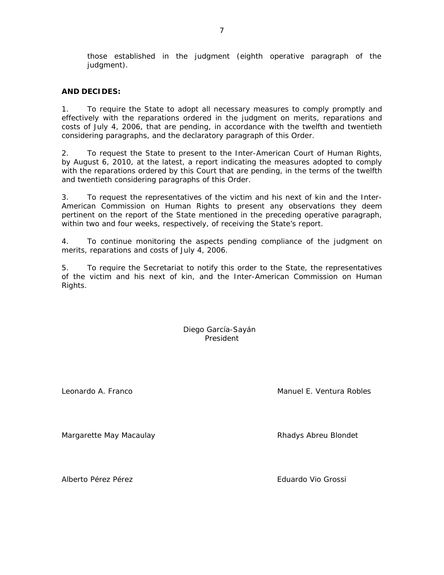those established in the judgment (*eighth operative paragraph of the judgment*).

# **AND DECIDES:**

1. To require the State to adopt all necessary measures to comply promptly and effectively with the reparations ordered in the judgment on merits, reparations and costs of July 4, 2006, that are pending, in accordance with the twelfth and twentieth considering paragraphs, and the declaratory paragraph of this Order.

2. To request the State to present to the Inter-American Court of Human Rights, by August 6, 2010, at the latest, a report indicating the measures adopted to comply with the reparations ordered by this Court that are pending, in the terms of the twelfth and twentieth considering paragraphs of this Order.

3. To request the representatives of the victim and his next of kin and the Inter-American Commission on Human Rights to present any observations they deem pertinent on the report of the State mentioned in the preceding operative paragraph, within two and four weeks, respectively, of receiving the State's report.

4. To continue monitoring the aspects pending compliance of the judgment on merits, reparations and costs of July 4, 2006.

5. To require the Secretariat to notify this order to the State, the representatives of the victim and his next of kin, and the Inter-American Commission on Human Rights.

> Diego García-Sayán President

Leonardo A. Franco Manuel E. Ventura Robles

Margarette May Macaulay **Rhadys Abreu Blondet** 

Alberto Pérez Pérez Eduardo Vio Grossi